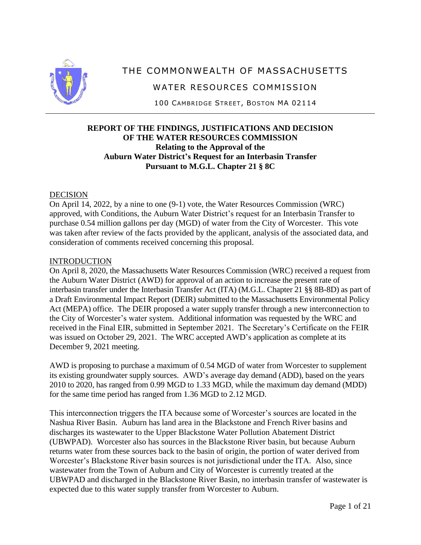

# THE COMMONWEALTH OF MASSACHUSETTS

WATER RESOURCES COMMISSION

100 CAMBRIDGE STREET, BOSTON MA 02114

# **REPORT OF THE FINDINGS, JUSTIFICATIONS AND DECISION OF THE WATER RESOURCES COMMISSION Relating to the Approval of the Auburn Water District's Request for an Interbasin Transfer Pursuant to M.G.L. Chapter 21 § 8C**

### DECISION

On April 14, 2022, by a nine to one (9-1) vote, the Water Resources Commission (WRC) approved, with Conditions, the Auburn Water District's request for an Interbasin Transfer to purchase 0.54 million gallons per day (MGD) of water from the City of Worcester. This vote was taken after review of the facts provided by the applicant, analysis of the associated data, and consideration of comments received concerning this proposal.

### **INTRODUCTION**

On April 8, 2020, the Massachusetts Water Resources Commission (WRC) received a request from the Auburn Water District (AWD) for approval of an action to increase the present rate of interbasin transfer under the Interbasin Transfer Act (ITA) (M.G.L. Chapter 21 §§ 8B-8D) as part of a Draft Environmental Impact Report (DEIR) submitted to the Massachusetts Environmental Policy Act (MEPA) office. The DEIR proposed a water supply transfer through a new interconnection to the City of Worcester's water system. Additional information was requested by the WRC and received in the Final EIR, submitted in September 2021. The Secretary's Certificate on the FEIR was issued on October 29, 2021. The WRC accepted AWD's application as complete at its December 9, 2021 meeting.

AWD is proposing to purchase a maximum of 0.54 MGD of water from Worcester to supplement its existing groundwater supply sources. AWD's average day demand (ADD), based on the years 2010 to 2020, has ranged from 0.99 MGD to 1.33 MGD, while the maximum day demand (MDD) for the same time period has ranged from 1.36 MGD to 2.12 MGD.

This interconnection triggers the ITA because some of Worcester's sources are located in the Nashua River Basin. Auburn has land area in the Blackstone and French River basins and discharges its wastewater to the Upper Blackstone Water Pollution Abatement District (UBWPAD). Worcester also has sources in the Blackstone River basin, but because Auburn returns water from these sources back to the basin of origin, the portion of water derived from Worcester's Blackstone River basin sources is not jurisdictional under the ITA. Also, since wastewater from the Town of Auburn and City of Worcester is currently treated at the UBWPAD and discharged in the Blackstone River Basin, no interbasin transfer of wastewater is expected due to this water supply transfer from Worcester to Auburn.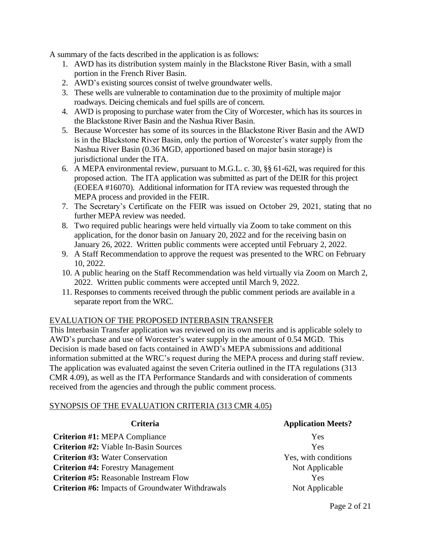A summary of the facts described in the application is as follows:

- 1. AWD has its distribution system mainly in the Blackstone River Basin, with a small portion in the French River Basin.
- 2. AWD's existing sources consist of twelve groundwater wells.
- 3. These wells are vulnerable to contamination due to the proximity of multiple major roadways. Deicing chemicals and fuel spills are of concern.
- 4. AWD is proposing to purchase water from the City of Worcester, which has its sources in the Blackstone River Basin and the Nashua River Basin.
- 5. Because Worcester has some of its sources in the Blackstone River Basin and the AWD is in the Blackstone River Basin, only the portion of Worcester's water supply from the Nashua River Basin (0.36 MGD, apportioned based on major basin storage) is jurisdictional under the ITA.
- 6. A MEPA environmental review, pursuant to M.G.L. c. 30, §§ 61-62I, was required for this proposed action. The ITA application was submitted as part of the DEIR for this project (EOEEA #16070). Additional information for ITA review was requested through the MEPA process and provided in the FEIR.
- 7. The Secretary's Certificate on the FEIR was issued on October 29, 2021, stating that no further MEPA review was needed.
- 8. Two required public hearings were held virtually via Zoom to take comment on this application, for the donor basin on January 20, 2022 and for the receiving basin on January 26, 2022. Written public comments were accepted until February 2, 2022.
- 9. A Staff Recommendation to approve the request was presented to the WRC on February 10, 2022.
- 10. A public hearing on the Staff Recommendation was held virtually via Zoom on March 2, 2022. Written public comments were accepted until March 9, 2022.
- 11. Responses to comments received through the public comment periods are available in a separate report from the WRC.

# EVALUATION OF THE PROPOSED INTERBASIN TRANSFER

This Interbasin Transfer application was reviewed on its own merits and is applicable solely to AWD's purchase and use of Worcester's water supply in the amount of 0.54 MGD. This Decision is made based on facts contained in AWD's MEPA submissions and additional information submitted at the WRC's request during the MEPA process and during staff review. The application was evaluated against the seven Criteria outlined in the ITA regulations (313 CMR 4.09), as well as the ITA Performance Standards and with consideration of comments received from the agencies and through the public comment process.

### SYNOPSIS OF THE EVALUATION CRITERIA (313 CMR 4.05)

**Criterion #1:** MEPA Compliance Yes **Criterion #2:** Viable In-Basin Sources The Manuscripture of the Ves **Criterion #3:** Water Conservation Test of Test Wes, with conditions Ves, with conditions **Criterion #4:** Forestry Management Not Applicable **Criterion #5:** Reasonable Instream Flow Tes **Criterion #6:** Impacts of Groundwater Withdrawals Not Applicable

#### **Criteria Application Meets?**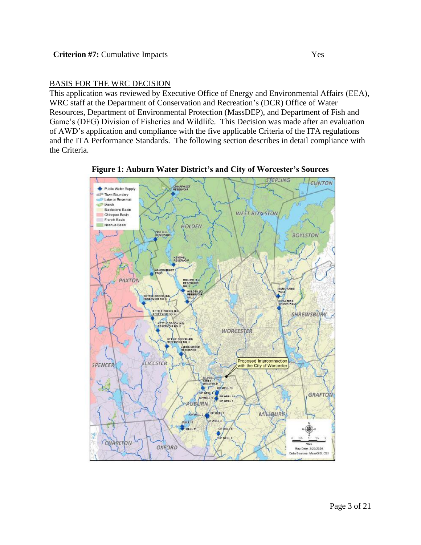## BASIS FOR THE WRC DECISION

This application was reviewed by Executive Office of Energy and Environmental Affairs (EEA), WRC staff at the Department of Conservation and Recreation's (DCR) Office of Water Resources, Department of Environmental Protection (MassDEP), and Department of Fish and Game's (DFG) Division of Fisheries and Wildlife. This Decision was made after an evaluation of AWD's application and compliance with the five applicable Criteria of the ITA regulations and the ITA Performance Standards. The following section describes in detail compliance with the Criteria.



**Figure 1: Auburn Water District's and City of Worcester's Sources**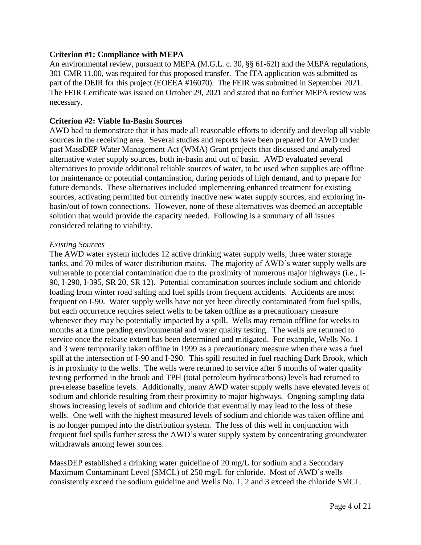#### **Criterion #1: Compliance with MEPA**

An environmental review, pursuant to MEPA (M.G.L. c. 30, §§ 61-62I) and the MEPA regulations, 301 CMR 11.00, was required for this proposed transfer. The ITA application was submitted as part of the DEIR for this project (EOEEA #16070). The FEIR was submitted in September 2021. The FEIR Certificate was issued on October 29, 2021 and stated that no further MEPA review was necessary.

### **Criterion #2: Viable In-Basin Sources**

AWD had to demonstrate that it has made all reasonable efforts to identify and develop all viable sources in the receiving area. Several studies and reports have been prepared for AWD under past MassDEP Water Management Act (WMA) Grant projects that discussed and analyzed alternative water supply sources, both in-basin and out of basin. AWD evaluated several alternatives to provide additional reliable sources of water, to be used when supplies are offline for maintenance or potential contamination, during periods of high demand, and to prepare for future demands. These alternatives included implementing enhanced treatment for existing sources, activating permitted but currently inactive new water supply sources, and exploring inbasin/out of town connections. However, none of these alternatives was deemed an acceptable solution that would provide the capacity needed. Following is a summary of all issues considered relating to viability.

#### *Existing Sources*

The AWD water system includes 12 active drinking water supply wells, three water storage tanks, and 70 miles of water distribution mains. The majority of AWD's water supply wells are vulnerable to potential contamination due to the proximity of numerous major highways (i.e., I-90, I-290, I-395, SR 20, SR 12). Potential contamination sources include sodium and chloride loading from winter road salting and fuel spills from frequent accidents. Accidents are most frequent on I-90. Water supply wells have not yet been directly contaminated from fuel spills, but each occurrence requires select wells to be taken offline as a precautionary measure whenever they may be potentially impacted by a spill. Wells may remain offline for weeks to months at a time pending environmental and water quality testing. The wells are returned to service once the release extent has been determined and mitigated. For example, Wells No. 1 and 3 were temporarily taken offline in 1999 as a precautionary measure when there was a fuel spill at the intersection of I-90 and I-290. This spill resulted in fuel reaching Dark Brook, which is in proximity to the wells. The wells were returned to service after 6 months of water quality testing performed in the brook and TPH (total petroleum hydrocarbons) levels had returned to pre-release baseline levels. Additionally, many AWD water supply wells have elevated levels of sodium and chloride resulting from their proximity to major highways. Ongoing sampling data shows increasing levels of sodium and chloride that eventually may lead to the loss of these wells. One well with the highest measured levels of sodium and chloride was taken offline and is no longer pumped into the distribution system. The loss of this well in conjunction with frequent fuel spills further stress the AWD's water supply system by concentrating groundwater withdrawals among fewer sources.

MassDEP established a drinking water guideline of 20 mg/L for sodium and a Secondary Maximum Contaminant Level (SMCL) of 250 mg/L for chloride. Most of AWD's wells consistently exceed the sodium guideline and Wells No. 1, 2 and 3 exceed the chloride SMCL.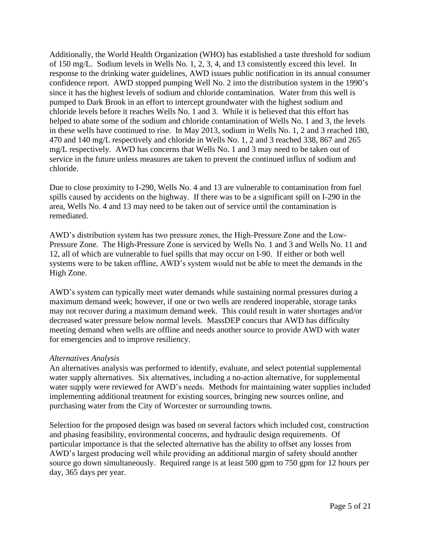Additionally, the World Health Organization (WHO) has established a taste threshold for sodium of 150 mg/L. Sodium levels in Wells No. 1, 2, 3, 4, and 13 consistently exceed this level. In response to the drinking water guidelines, AWD issues public notification in its annual consumer confidence report. AWD stopped pumping Well No. 2 into the distribution system in the 1990's since it has the highest levels of sodium and chloride contamination. Water from this well is pumped to Dark Brook in an effort to intercept groundwater with the highest sodium and chloride levels before it reaches Wells No. 1 and 3. While it is believed that this effort has helped to abate some of the sodium and chloride contamination of Wells No. 1 and 3, the levels in these wells have continued to rise. In May 2013, sodium in Wells No. 1, 2 and 3 reached 180, 470 and 140 mg/L respectively and chloride in Wells No. 1, 2 and 3 reached 338, 867 and 265 mg/L respectively. AWD has concerns that Wells No. 1 and 3 may need to be taken out of service in the future unless measures are taken to prevent the continued influx of sodium and chloride.

Due to close proximity to I-290, Wells No. 4 and 13 are vulnerable to contamination from fuel spills caused by accidents on the highway. If there was to be a significant spill on I-290 in the area, Wells No. 4 and 13 may need to be taken out of service until the contamination is remediated.

AWD's distribution system has two pressure zones, the High-Pressure Zone and the Low-Pressure Zone. The High-Pressure Zone is serviced by Wells No. 1 and 3 and Wells No. 11 and 12, all of which are vulnerable to fuel spills that may occur on I-90. If either or both well systems were to be taken offline, AWD's system would not be able to meet the demands in the High Zone.

AWD's system can typically meet water demands while sustaining normal pressures during a maximum demand week; however, if one or two wells are rendered inoperable, storage tanks may not recover during a maximum demand week. This could result in water shortages and/or decreased water pressure below normal levels. MassDEP concurs that AWD has difficulty meeting demand when wells are offline and needs another source to provide AWD with water for emergencies and to improve resiliency.

### *Alternatives Analysis*

An alternatives analysis was performed to identify, evaluate, and select potential supplemental water supply alternatives. Six alternatives, including a no-action alternative, for supplemental water supply were reviewed for AWD's needs. Methods for maintaining water supplies included implementing additional treatment for existing sources, bringing new sources online, and purchasing water from the City of Worcester or surrounding towns.

Selection for the proposed design was based on several factors which included cost, construction and phasing feasibility, environmental concerns, and hydraulic design requirements. Of particular importance is that the selected alternative has the ability to offset any losses from AWD's largest producing well while providing an additional margin of safety should another source go down simultaneously. Required range is at least 500 gpm to 750 gpm for 12 hours per day, 365 days per year.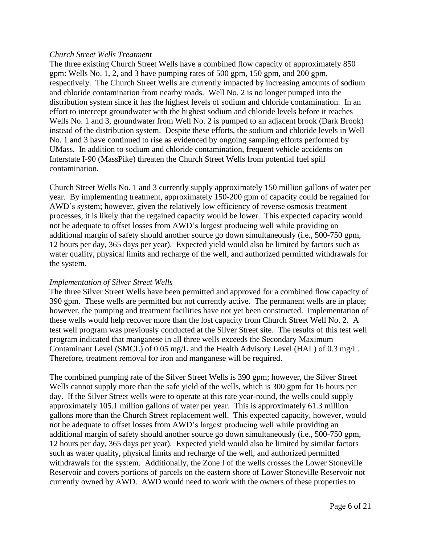#### *Church Street Wells Treatment*

The three existing Church Street Wells have a combined flow capacity of approximately 850 gpm: Wells No. 1, 2, and 3 have pumping rates of 500 gpm, 150 gpm, and 200 gpm, respectively. The Church Street Wells are currently impacted by increasing amounts of sodium and chloride contamination from nearby roads. Well No. 2 is no longer pumped into the distribution system since it has the highest levels of sodium and chloride contamination. In an effort to intercept groundwater with the highest sodium and chloride levels before it reaches Wells No. 1 and 3, groundwater from Well No. 2 is pumped to an adjacent brook (Dark Brook) instead of the distribution system. Despite these efforts, the sodium and chloride levels in Well No. 1 and 3 have continued to rise as evidenced by ongoing sampling efforts performed by UMass. In addition to sodium and chloride contamination, frequent vehicle accidents on Interstate I-90 (MassPike) threaten the Church Street Wells from potential fuel spill contamination.

Church Street Wells No. 1 and 3 currently supply approximately 150 million gallons of water per year. By implementing treatment, approximately 150-200 gpm of capacity could be regained for AWD's system; however, given the relatively low efficiency of reverse osmosis treatment processes, it is likely that the regained capacity would be lower. This expected capacity would not be adequate to offset losses from AWD's largest producing well while providing an additional margin of safety should another source go down simultaneously (i.e., 500-750 gpm, 12 hours per day, 365 days per year). Expected yield would also be limited by factors such as water quality, physical limits and recharge of the well, and authorized permitted withdrawals for the system.

### *Implementation of Silver Street Wells*

The three Silver Street Wells have been permitted and approved for a combined flow capacity of 390 gpm. These wells are permitted but not currently active. The permanent wells are in place; however, the pumping and treatment facilities have not yet been constructed. Implementation of these wells would help recover more than the lost capacity from Church Street Well No. 2. A test well program was previously conducted at the Silver Street site. The results of this test well program indicated that manganese in all three wells exceeds the Secondary Maximum Contaminant Level (SMCL) of 0.05 mg/L and the Health Advisory Level (HAL) of 0.3 mg/L. Therefore, treatment removal for iron and manganese will be required.

The combined pumping rate of the Silver Street Wells is 390 gpm; however, the Silver Street Wells cannot supply more than the safe yield of the wells, which is 300 gpm for 16 hours per day. If the Silver Street wells were to operate at this rate year-round, the wells could supply approximately 105.1 million gallons of water per year. This is approximately 61.3 million gallons more than the Church Street replacement well. This expected capacity, however, would not be adequate to offset losses from AWD's largest producing well while providing an additional margin of safety should another source go down simultaneously (i.e., 500-750 gpm, 12 hours per day, 365 days per year). Expected yield would also be limited by similar factors such as water quality, physical limits and recharge of the well, and authorized permitted withdrawals for the system. Additionally, the Zone I of the wells crosses the Lower Stoneville Reservoir and covers portions of parcels on the eastern shore of Lower Stoneville Reservoir not currently owned by AWD. AWD would need to work with the owners of these properties to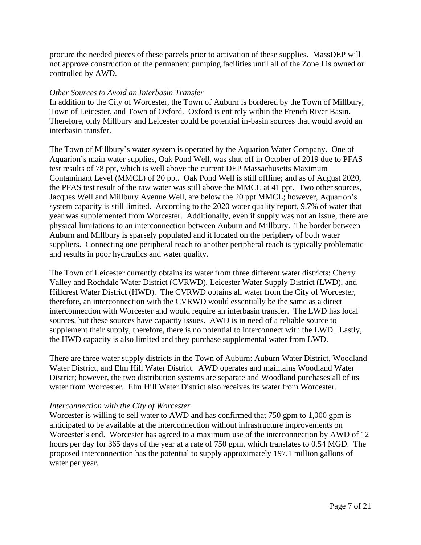procure the needed pieces of these parcels prior to activation of these supplies. MassDEP will not approve construction of the permanent pumping facilities until all of the Zone I is owned or controlled by AWD.

#### *Other Sources to Avoid an Interbasin Transfer*

In addition to the City of Worcester, the Town of Auburn is bordered by the Town of Millbury, Town of Leicester, and Town of Oxford. Oxford is entirely within the French River Basin. Therefore, only Millbury and Leicester could be potential in-basin sources that would avoid an interbasin transfer.

The Town of Millbury's water system is operated by the Aquarion Water Company. One of Aquarion's main water supplies, Oak Pond Well, was shut off in October of 2019 due to PFAS test results of 78 ppt, which is well above the current DEP Massachusetts Maximum Contaminant Level (MMCL) of 20 ppt. Oak Pond Well is still offline; and as of August 2020, the PFAS test result of the raw water was still above the MMCL at 41 ppt. Two other sources, Jacques Well and Millbury Avenue Well, are below the 20 ppt MMCL; however, Aquarion's system capacity is still limited. According to the 2020 water quality report, 9.7% of water that year was supplemented from Worcester. Additionally, even if supply was not an issue, there are physical limitations to an interconnection between Auburn and Millbury. The border between Auburn and Millbury is sparsely populated and it located on the periphery of both water suppliers. Connecting one peripheral reach to another peripheral reach is typically problematic and results in poor hydraulics and water quality.

The Town of Leicester currently obtains its water from three different water districts: Cherry Valley and Rochdale Water District (CVRWD), Leicester Water Supply District (LWD), and Hillcrest Water District (HWD). The CVRWD obtains all water from the City of Worcester, therefore, an interconnection with the CVRWD would essentially be the same as a direct interconnection with Worcester and would require an interbasin transfer. The LWD has local sources, but these sources have capacity issues. AWD is in need of a reliable source to supplement their supply, therefore, there is no potential to interconnect with the LWD. Lastly, the HWD capacity is also limited and they purchase supplemental water from LWD.

There are three water supply districts in the Town of Auburn: Auburn Water District, Woodland Water District, and Elm Hill Water District. AWD operates and maintains Woodland Water District; however, the two distribution systems are separate and Woodland purchases all of its water from Worcester. Elm Hill Water District also receives its water from Worcester.

#### *Interconnection with the City of Worcester*

Worcester is willing to sell water to AWD and has confirmed that 750 gpm to 1,000 gpm is anticipated to be available at the interconnection without infrastructure improvements on Worcester's end. Worcester has agreed to a maximum use of the interconnection by AWD of 12 hours per day for 365 days of the year at a rate of 750 gpm, which translates to 0.54 MGD. The proposed interconnection has the potential to supply approximately 197.1 million gallons of water per year.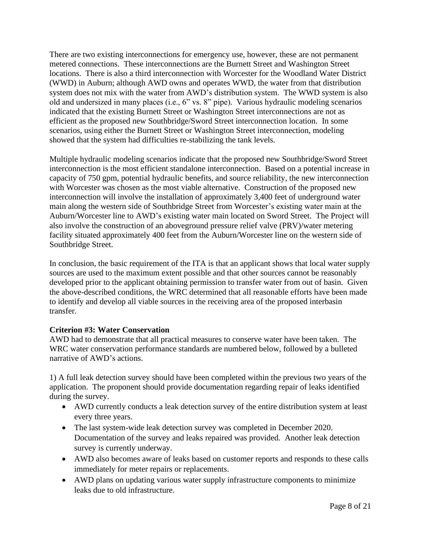There are two existing interconnections for emergency use, however, these are not permanent metered connections. These interconnections are the Burnett Street and Washington Street locations. There is also a third interconnection with Worcester for the Woodland Water District (WWD) in Auburn; although AWD owns and operates WWD, the water from that distribution system does not mix with the water from AWD's distribution system. The WWD system is also old and undersized in many places (i.e., 6" vs. 8" pipe). Various hydraulic modeling scenarios indicated that the existing Burnett Street or Washington Street interconnections are not as efficient as the proposed new Southbridge/Sword Street interconnection location. In some scenarios, using either the Burnett Street or Washington Street interconnection, modeling showed that the system had difficulties re-stabilizing the tank levels.

Multiple hydraulic modeling scenarios indicate that the proposed new Southbridge/Sword Street interconnection is the most efficient standalone interconnection. Based on a potential increase in capacity of 750 gpm, potential hydraulic benefits, and source reliability, the new interconnection with Worcester was chosen as the most viable alternative. Construction of the proposed new interconnection will involve the installation of approximately 3,400 feet of underground water main along the western side of Southbridge Street from Worcester's existing water main at the Auburn/Worcester line to AWD's existing water main located on Sword Street. The Project will also involve the construction of an aboveground pressure relief valve (PRV)/water metering facility situated approximately 400 feet from the Auburn/Worcester line on the western side of Southbridge Street.

In conclusion, the basic requirement of the ITA is that an applicant shows that local water supply sources are used to the maximum extent possible and that other sources cannot be reasonably developed prior to the applicant obtaining permission to transfer water from out of basin. Given the above-described conditions, the WRC determined that all reasonable efforts have been made to identify and develop all viable sources in the receiving area of the proposed interbasin transfer.

# **Criterion #3: Water Conservation**

AWD had to demonstrate that all practical measures to conserve water have been taken. The WRC water conservation performance standards are numbered below, followed by a bulleted narrative of AWD's actions.

1) A full leak detection survey should have been completed within the previous two years of the application. The proponent should provide documentation regarding repair of leaks identified during the survey.

- AWD currently conducts a leak detection survey of the entire distribution system at least every three years.
- The last system-wide leak detection survey was completed in December 2020. Documentation of the survey and leaks repaired was provided. Another leak detection survey is currently underway.
- AWD also becomes aware of leaks based on customer reports and responds to these calls immediately for meter repairs or replacements.
- AWD plans on updating various water supply infrastructure components to minimize leaks due to old infrastructure.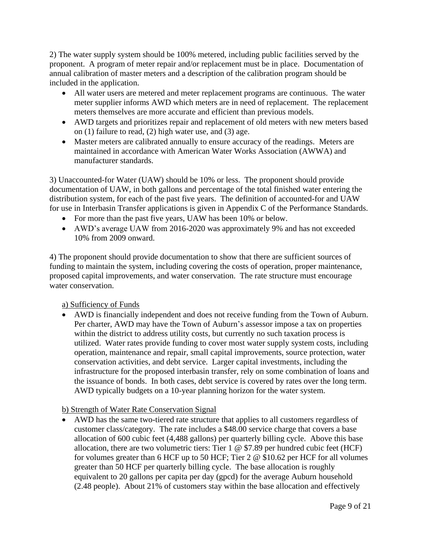2) The water supply system should be 100% metered, including public facilities served by the proponent. A program of meter repair and/or replacement must be in place. Documentation of annual calibration of master meters and a description of the calibration program should be included in the application.

- All water users are metered and meter replacement programs are continuous. The water meter supplier informs AWD which meters are in need of replacement. The replacement meters themselves are more accurate and efficient than previous models.
- AWD targets and prioritizes repair and replacement of old meters with new meters based on (1) failure to read, (2) high water use, and (3) age.
- Master meters are calibrated annually to ensure accuracy of the readings. Meters are maintained in accordance with American Water Works Association (AWWA) and manufacturer standards.

3) Unaccounted-for Water (UAW) should be 10% or less. The proponent should provide documentation of UAW, in both gallons and percentage of the total finished water entering the distribution system, for each of the past five years. The definition of accounted-for and UAW for use in Interbasin Transfer applications is given in Appendix C of the Performance Standards.

- For more than the past five years, UAW has been 10% or below.
- AWD's average UAW from 2016-2020 was approximately 9% and has not exceeded 10% from 2009 onward.

4) The proponent should provide documentation to show that there are sufficient sources of funding to maintain the system, including covering the costs of operation, proper maintenance, proposed capital improvements, and water conservation. The rate structure must encourage water conservation.

# a) Sufficiency of Funds

• AWD is financially independent and does not receive funding from the Town of Auburn. Per charter, AWD may have the Town of Auburn's assessor impose a tax on properties within the district to address utility costs, but currently no such taxation process is utilized. Water rates provide funding to cover most water supply system costs, including operation, maintenance and repair, small capital improvements, source protection, water conservation activities, and debt service. Larger capital investments, including the infrastructure for the proposed interbasin transfer, rely on some combination of loans and the issuance of bonds. In both cases, debt service is covered by rates over the long term. AWD typically budgets on a 10-year planning horizon for the water system.

# b) Strength of Water Rate Conservation Signal

• AWD has the same two-tiered rate structure that applies to all customers regardless of customer class/category. The rate includes a \$48.00 service charge that covers a base allocation of 600 cubic feet (4,488 gallons) per quarterly billing cycle. Above this base allocation, there are two volumetric tiers: Tier  $1 \circledcirc$  \$7.89 per hundred cubic feet (HCF) for volumes greater than 6 HCF up to 50 HCF; Tier 2 @ \$10.62 per HCF for all volumes greater than 50 HCF per quarterly billing cycle. The base allocation is roughly equivalent to 20 gallons per capita per day (gpcd) for the average Auburn household (2.48 people). About 21% of customers stay within the base allocation and effectively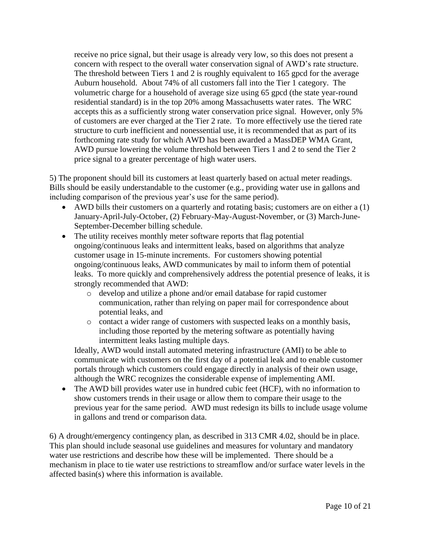receive no price signal, but their usage is already very low, so this does not present a concern with respect to the overall water conservation signal of AWD's rate structure. The threshold between Tiers 1 and 2 is roughly equivalent to 165 gpcd for the average Auburn household. About 74% of all customers fall into the Tier 1 category. The volumetric charge for a household of average size using 65 gpcd (the state year-round residential standard) is in the top 20% among Massachusetts water rates. The WRC accepts this as a sufficiently strong water conservation price signal. However, only 5% of customers are ever charged at the Tier 2 rate. To more effectively use the tiered rate structure to curb inefficient and nonessential use, it is recommended that as part of its forthcoming rate study for which AWD has been awarded a MassDEP WMA Grant, AWD pursue lowering the volume threshold between Tiers 1 and 2 to send the Tier 2 price signal to a greater percentage of high water users.

5) The proponent should bill its customers at least quarterly based on actual meter readings. Bills should be easily understandable to the customer (e.g., providing water use in gallons and including comparison of the previous year's use for the same period).

- AWD bills their customers on a quarterly and rotating basis; customers are on either a (1) January-April-July-October, (2) February-May-August-November, or (3) March-June-September-December billing schedule.
- The utility receives monthly meter software reports that flag potential ongoing/continuous leaks and intermittent leaks, based on algorithms that analyze customer usage in 15-minute increments. For customers showing potential ongoing/continuous leaks, AWD communicates by mail to inform them of potential leaks. To more quickly and comprehensively address the potential presence of leaks, it is strongly recommended that AWD:
	- o develop and utilize a phone and/or email database for rapid customer communication, rather than relying on paper mail for correspondence about potential leaks, and
	- o contact a wider range of customers with suspected leaks on a monthly basis, including those reported by the metering software as potentially having intermittent leaks lasting multiple days.

Ideally, AWD would install automated metering infrastructure (AMI) to be able to communicate with customers on the first day of a potential leak and to enable customer portals through which customers could engage directly in analysis of their own usage, although the WRC recognizes the considerable expense of implementing AMI.

• The AWD bill provides water use in hundred cubic feet (HCF), with no information to show customers trends in their usage or allow them to compare their usage to the previous year for the same period. AWD must redesign its bills to include usage volume in gallons and trend or comparison data.

6) A drought/emergency contingency plan, as described in 313 CMR 4.02, should be in place. This plan should include seasonal use guidelines and measures for voluntary and mandatory water use restrictions and describe how these will be implemented. There should be a mechanism in place to tie water use restrictions to streamflow and/or surface water levels in the affected basin(s) where this information is available.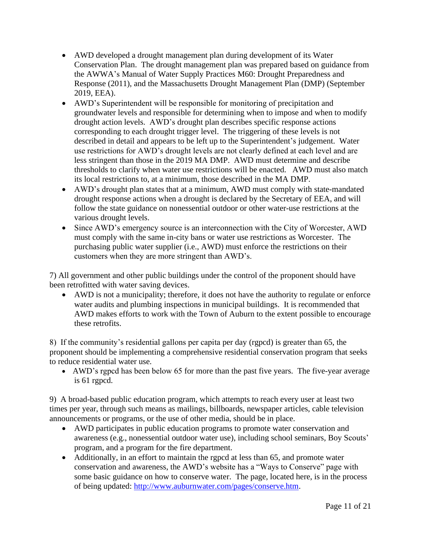- AWD developed a drought management plan during development of its Water Conservation Plan. The drought management plan was prepared based on guidance from the AWWA's Manual of Water Supply Practices M60: Drought Preparedness and Response (2011), and the Massachusetts Drought Management Plan (DMP) (September 2019, EEA).
- AWD's Superintendent will be responsible for monitoring of precipitation and groundwater levels and responsible for determining when to impose and when to modify drought action levels. AWD's drought plan describes specific response actions corresponding to each drought trigger level. The triggering of these levels is not described in detail and appears to be left up to the Superintendent's judgement. Water use restrictions for AWD's drought levels are not clearly defined at each level and are less stringent than those in the 2019 MA DMP. AWD must determine and describe thresholds to clarify when water use restrictions will be enacted. AWD must also match its local restrictions to, at a minimum, those described in the MA DMP.
- AWD's drought plan states that at a minimum, AWD must comply with state-mandated drought response actions when a drought is declared by the Secretary of EEA, and will follow the state guidance on nonessential outdoor or other water-use restrictions at the various drought levels.
- Since AWD's emergency source is an interconnection with the City of Worcester, AWD must comply with the same in-city bans or water use restrictions as Worcester. The purchasing public water supplier (i.e., AWD) must enforce the restrictions on their customers when they are more stringent than AWD's.

7) All government and other public buildings under the control of the proponent should have been retrofitted with water saving devices.

• AWD is not a municipality; therefore, it does not have the authority to regulate or enforce water audits and plumbing inspections in municipal buildings. It is recommended that AWD makes efforts to work with the Town of Auburn to the extent possible to encourage these retrofits.

8) If the community's residential gallons per capita per day (rgpcd) is greater than 65, the proponent should be implementing a comprehensive residential conservation program that seeks to reduce residential water use.

• AWD's rgpcd has been below 65 for more than the past five years. The five-year average is 61 rgpcd.

9) A broad-based public education program, which attempts to reach every user at least two times per year, through such means as mailings, billboards, newspaper articles, cable television announcements or programs, or the use of other media, should be in place.

- AWD participates in public education programs to promote water conservation and awareness (e.g., nonessential outdoor water use), including school seminars, Boy Scouts' program, and a program for the fire department.
- Additionally, in an effort to maintain the rgpcd at less than 65, and promote water conservation and awareness, the AWD's website has a "Ways to Conserve" page with some basic guidance on how to conserve water. The page, located here, is in the process of being updated: [http://www.auburnwater.com/pages/conserve.htm.](http://www.auburnwater.com/pages/conserve.htm)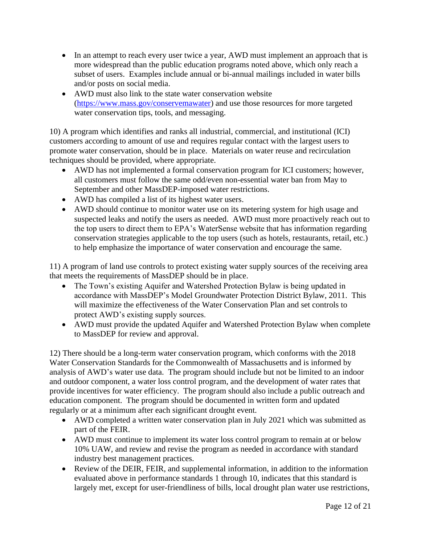- In an attempt to reach every user twice a year, AWD must implement an approach that is more widespread than the public education programs noted above, which only reach a subset of users. Examples include annual or bi-annual mailings included in water bills and/or posts on social media.
- AWD must also link to the state water conservation website [\(https://www.mass.gov/conservemawater\)](https://www.mass.gov/conservemawater) and use those resources for more targeted water conservation tips, tools, and messaging.

10) A program which identifies and ranks all industrial, commercial, and institutional (ICI) customers according to amount of use and requires regular contact with the largest users to promote water conservation, should be in place. Materials on water reuse and recirculation techniques should be provided, where appropriate.

- AWD has not implemented a formal conservation program for ICI customers; however, all customers must follow the same odd/even non-essential water ban from May to September and other MassDEP-imposed water restrictions.
- AWD has compiled a list of its highest water users.
- AWD should continue to monitor water use on its metering system for high usage and suspected leaks and notify the users as needed. AWD must more proactively reach out to the top users to direct them to EPA's WaterSense website that has information regarding conservation strategies applicable to the top users (such as hotels, restaurants, retail, etc.) to help emphasize the importance of water conservation and encourage the same.

11) A program of land use controls to protect existing water supply sources of the receiving area that meets the requirements of MassDEP should be in place.

- The Town's existing Aquifer and Watershed Protection Bylaw is being updated in accordance with MassDEP's Model Groundwater Protection District Bylaw, 2011. This will maximize the effectiveness of the Water Conservation Plan and set controls to protect AWD's existing supply sources.
- AWD must provide the updated Aquifer and Watershed Protection Bylaw when complete to MassDEP for review and approval.

12) There should be a long-term water conservation program, which conforms with the 2018 Water Conservation Standards for the Commonwealth of Massachusetts and is informed by analysis of AWD's water use data. The program should include but not be limited to an indoor and outdoor component, a water loss control program, and the development of water rates that provide incentives for water efficiency. The program should also include a public outreach and education component. The program should be documented in written form and updated regularly or at a minimum after each significant drought event.

- AWD completed a written water conservation plan in July 2021 which was submitted as part of the FEIR.
- AWD must continue to implement its water loss control program to remain at or below 10% UAW, and review and revise the program as needed in accordance with standard industry best management practices.
- Review of the DEIR, FEIR, and supplemental information, in addition to the information evaluated above in performance standards 1 through 10, indicates that this standard is largely met, except for user-friendliness of bills, local drought plan water use restrictions,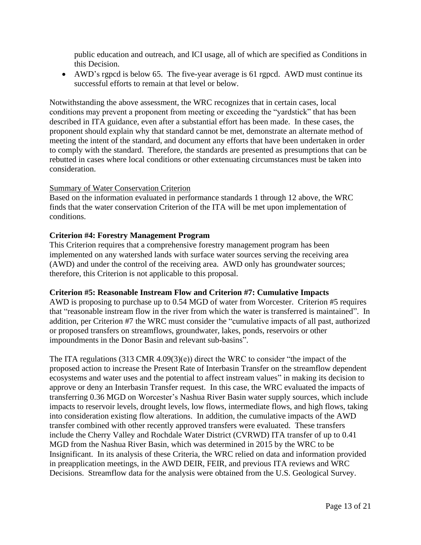public education and outreach, and ICI usage, all of which are specified as Conditions in this Decision.

• AWD's rgpcd is below 65. The five-year average is 61 rgpcd. AWD must continue its successful efforts to remain at that level or below.

Notwithstanding the above assessment, the WRC recognizes that in certain cases, local conditions may prevent a proponent from meeting or exceeding the "yardstick" that has been described in ITA guidance, even after a substantial effort has been made. In these cases, the proponent should explain why that standard cannot be met, demonstrate an alternate method of meeting the intent of the standard, and document any efforts that have been undertaken in order to comply with the standard. Therefore, the standards are presented as presumptions that can be rebutted in cases where local conditions or other extenuating circumstances must be taken into consideration.

#### Summary of Water Conservation Criterion

Based on the information evaluated in performance standards 1 through 12 above, the WRC finds that the water conservation Criterion of the ITA will be met upon implementation of conditions.

### **Criterion #4: Forestry Management Program**

This Criterion requires that a comprehensive forestry management program has been implemented on any watershed lands with surface water sources serving the receiving area (AWD) and under the control of the receiving area. AWD only has groundwater sources; therefore, this Criterion is not applicable to this proposal.

#### **Criterion #5: Reasonable Instream Flow and Criterion #7: Cumulative Impacts**

AWD is proposing to purchase up to 0.54 MGD of water from Worcester. Criterion #5 requires that "reasonable instream flow in the river from which the water is transferred is maintained". In addition, per Criterion #7 the WRC must consider the "cumulative impacts of all past, authorized or proposed transfers on streamflows, groundwater, lakes, ponds, reservoirs or other impoundments in the Donor Basin and relevant sub-basins".

The ITA regulations (313 CMR 4.09(3)(e)) direct the WRC to consider "the impact of the proposed action to increase the Present Rate of Interbasin Transfer on the streamflow dependent ecosystems and water uses and the potential to affect instream values" in making its decision to approve or deny an Interbasin Transfer request. In this case, the WRC evaluated the impacts of transferring 0.36 MGD on Worcester's Nashua River Basin water supply sources, which include impacts to reservoir levels, drought levels, low flows, intermediate flows, and high flows, taking into consideration existing flow alterations. In addition, the cumulative impacts of the AWD transfer combined with other recently approved transfers were evaluated. These transfers include the Cherry Valley and Rochdale Water District (CVRWD) ITA transfer of up to 0.41 MGD from the Nashua River Basin, which was determined in 2015 by the WRC to be Insignificant. In its analysis of these Criteria, the WRC relied on data and information provided in preapplication meetings, in the AWD DEIR, FEIR, and previous ITA reviews and WRC Decisions. Streamflow data for the analysis were obtained from the U.S. Geological Survey.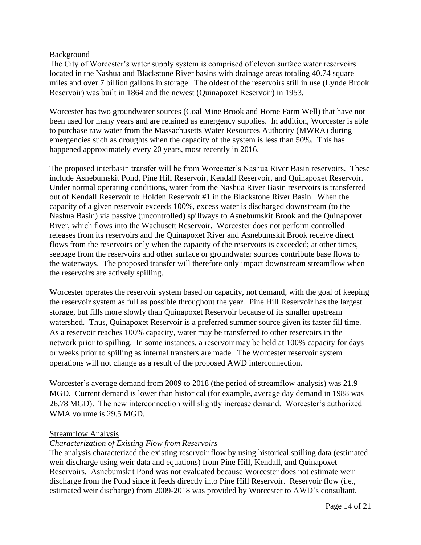### Background

The City of Worcester's water supply system is comprised of eleven surface water reservoirs located in the Nashua and Blackstone River basins with drainage areas totaling 40.74 square miles and over 7 billion gallons in storage. The oldest of the reservoirs still in use (Lynde Brook Reservoir) was built in 1864 and the newest (Quinapoxet Reservoir) in 1953.

Worcester has two groundwater sources (Coal Mine Brook and Home Farm Well) that have not been used for many years and are retained as emergency supplies. In addition, Worcester is able to purchase raw water from the Massachusetts Water Resources Authority (MWRA) during emergencies such as droughts when the capacity of the system is less than 50%. This has happened approximately every 20 years, most recently in 2016.

The proposed interbasin transfer will be from Worcester's Nashua River Basin reservoirs. These include Asnebumskit Pond, Pine Hill Reservoir, Kendall Reservoir, and Quinapoxet Reservoir. Under normal operating conditions, water from the Nashua River Basin reservoirs is transferred out of Kendall Reservoir to Holden Reservoir #1 in the Blackstone River Basin. When the capacity of a given reservoir exceeds 100%, excess water is discharged downstream (to the Nashua Basin) via passive (uncontrolled) spillways to Asnebumskit Brook and the Quinapoxet River, which flows into the Wachusett Reservoir. Worcester does not perform controlled releases from its reservoirs and the Quinapoxet River and Asnebumskit Brook receive direct flows from the reservoirs only when the capacity of the reservoirs is exceeded; at other times, seepage from the reservoirs and other surface or groundwater sources contribute base flows to the waterways. The proposed transfer will therefore only impact downstream streamflow when the reservoirs are actively spilling.

Worcester operates the reservoir system based on capacity, not demand, with the goal of keeping the reservoir system as full as possible throughout the year. Pine Hill Reservoir has the largest storage, but fills more slowly than Quinapoxet Reservoir because of its smaller upstream watershed. Thus, Quinapoxet Reservoir is a preferred summer source given its faster fill time. As a reservoir reaches 100% capacity, water may be transferred to other reservoirs in the network prior to spilling. In some instances, a reservoir may be held at 100% capacity for days or weeks prior to spilling as internal transfers are made. The Worcester reservoir system operations will not change as a result of the proposed AWD interconnection.

Worcester's average demand from 2009 to 2018 (the period of streamflow analysis) was 21.9 MGD. Current demand is lower than historical (for example, average day demand in 1988 was 26.78 MGD). The new interconnection will slightly increase demand. Worcester's authorized WMA volume is 29.5 MGD.

### Streamflow Analysis

### *Characterization of Existing Flow from Reservoirs*

The analysis characterized the existing reservoir flow by using historical spilling data (estimated weir discharge using weir data and equations) from Pine Hill, Kendall, and Quinapoxet Reservoirs. Asnebumskit Pond was not evaluated because Worcester does not estimate weir discharge from the Pond since it feeds directly into Pine Hill Reservoir. Reservoir flow (i.e., estimated weir discharge) from 2009-2018 was provided by Worcester to AWD's consultant.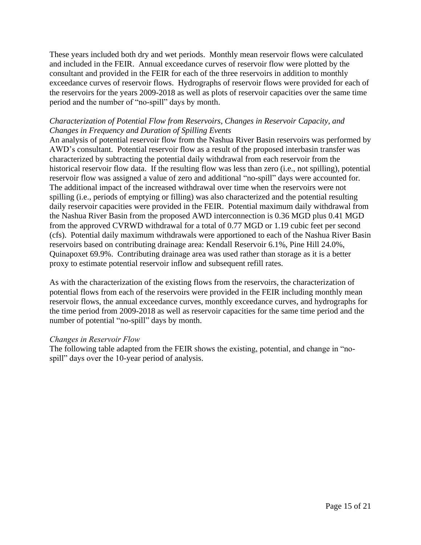These years included both dry and wet periods. Monthly mean reservoir flows were calculated and included in the FEIR. Annual exceedance curves of reservoir flow were plotted by the consultant and provided in the FEIR for each of the three reservoirs in addition to monthly exceedance curves of reservoir flows. Hydrographs of reservoir flows were provided for each of the reservoirs for the years 2009-2018 as well as plots of reservoir capacities over the same time period and the number of "no-spill" days by month.

### *Characterization of Potential Flow from Reservoirs, Changes in Reservoir Capacity, and Changes in Frequency and Duration of Spilling Events*

An analysis of potential reservoir flow from the Nashua River Basin reservoirs was performed by AWD's consultant. Potential reservoir flow as a result of the proposed interbasin transfer was characterized by subtracting the potential daily withdrawal from each reservoir from the historical reservoir flow data. If the resulting flow was less than zero (i.e., not spilling), potential reservoir flow was assigned a value of zero and additional "no-spill" days were accounted for. The additional impact of the increased withdrawal over time when the reservoirs were not spilling (i.e., periods of emptying or filling) was also characterized and the potential resulting daily reservoir capacities were provided in the FEIR. Potential maximum daily withdrawal from the Nashua River Basin from the proposed AWD interconnection is 0.36 MGD plus 0.41 MGD from the approved CVRWD withdrawal for a total of 0.77 MGD or 1.19 cubic feet per second (cfs). Potential daily maximum withdrawals were apportioned to each of the Nashua River Basin reservoirs based on contributing drainage area: Kendall Reservoir 6.1%, Pine Hill 24.0%, Quinapoxet 69.9%. Contributing drainage area was used rather than storage as it is a better proxy to estimate potential reservoir inflow and subsequent refill rates.

As with the characterization of the existing flows from the reservoirs, the characterization of potential flows from each of the reservoirs were provided in the FEIR including monthly mean reservoir flows, the annual exceedance curves, monthly exceedance curves, and hydrographs for the time period from 2009-2018 as well as reservoir capacities for the same time period and the number of potential "no-spill" days by month.

#### *Changes in Reservoir Flow*

The following table adapted from the FEIR shows the existing, potential, and change in "nospill" days over the 10-year period of analysis.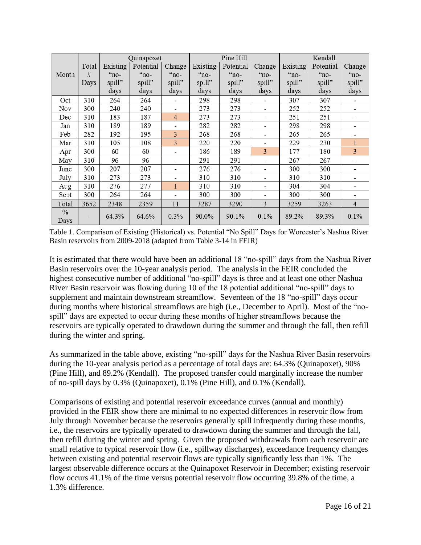|              |       | Quinapoxet  |           |                              | Pine Hill |           |                          | Kendall     |           |                       |
|--------------|-------|-------------|-----------|------------------------------|-----------|-----------|--------------------------|-------------|-----------|-----------------------|
|              | Total | Existing    | Potential | Change                       | Existing  | Potential | Change                   | Existing    | Potential | Change                |
| Month        | #     | $\cdot$ no- | $m$ -     | $\cdot$ no-                  | "no-      | $"no-$    | $\alpha$ <sup>"</sup>    | $\cdot$ no- | $"no-$    | $\alpha$ <sup>"</sup> |
|              | Days  | spill"      | spill"    | spill"                       | spill"    | spill"    | spill"                   | spill"      | spill"    | spill"                |
|              |       | days        | days      | days                         | days      | days      | days                     | days        | days      | days                  |
| Oct          | 310   | 264         | 264       | ۰                            | 298       | 298       | ٠                        | 307         | 307       | ۰                     |
| Nov          | 300   | 240         | 240       | $\blacksquare$               | 273       | 273       | ٠                        | 252         | 252       |                       |
| Dec          | 310   | 183         | 187       | 4                            | 273       | 273       | $\overline{\phantom{a}}$ | 251         | 251       |                       |
| Jan          | 310   | 189         | 189       | $\qquad \qquad \blacksquare$ | 282       | 282       | $\overline{\phantom{a}}$ | 298         | 298       | -                     |
| Feb          | 282   | 192         | 195       | 3                            | 268       | 268       | ٠                        | 265         | 265       |                       |
| Mar          | 310   | 105         | 108       | 3                            | 220       | 220       | ٠                        | 229         | 230       | 1                     |
| Apr          | 300   | 60          | 60        |                              | 186       | 189       | 3                        | 177         | 180       | 3                     |
| May          | 310   | 96          | 96        | $\blacksquare$               | 291       | 291       | $\overline{\phantom{a}}$ | 267         | 267       |                       |
| June         | 300   | 207         | 207       |                              | 276       | 276       | $\overline{\phantom{a}}$ | 300         | 300       |                       |
| July         | 310   | 273         | 273       |                              | 310       | 310       | $\overline{\phantom{a}}$ | 310         | 310       |                       |
| Aug          | 310   | 276         | 277       | 1                            | 310       | 310       | $\overline{\phantom{a}}$ | 304         | 304       |                       |
| Sept         | 300   | 264         | 264       | ۰                            | 300       | 300       | $\overline{\phantom{a}}$ | 300         | 300       | ۰                     |
| Total        | 3652  | 2348        | 2359      | 11                           | 3287      | 3290      | 3                        | 3259        | 3263      | $\overline{4}$        |
| $\%$<br>Days |       | 64.3%       | 64.6%     | 0.3%                         | 90.0%     | 90.1%     | 0.1%                     | 89.2%       | 89.3%     | 0.1%                  |

Table 1. Comparison of Existing (Historical) vs. Potential "No Spill" Days for Worcester's Nashua River Basin reservoirs from 2009-2018 (adapted from Table 3-14 in FEIR)

It is estimated that there would have been an additional 18 "no-spill" days from the Nashua River Basin reservoirs over the 10-year analysis period. The analysis in the FEIR concluded the highest consecutive number of additional "no-spill" days is three and at least one other Nashua River Basin reservoir was flowing during 10 of the 18 potential additional "no-spill" days to supplement and maintain downstream streamflow. Seventeen of the 18 "no-spill" days occur during months where historical streamflows are high (i.e., December to April). Most of the "nospill" days are expected to occur during these months of higher streamflows because the reservoirs are typically operated to drawdown during the summer and through the fall, then refill during the winter and spring.

As summarized in the table above, existing "no-spill" days for the Nashua River Basin reservoirs during the 10-year analysis period as a percentage of total days are: 64.3% (Quinapoxet), 90% (Pine Hill), and 89.2% (Kendall). The proposed transfer could marginally increase the number of no-spill days by 0.3% (Quinapoxet), 0.1% (Pine Hill), and 0.1% (Kendall).

Comparisons of existing and potential reservoir exceedance curves (annual and monthly) provided in the FEIR show there are minimal to no expected differences in reservoir flow from July through November because the reservoirs generally spill infrequently during these months, i.e., the reservoirs are typically operated to drawdown during the summer and through the fall, then refill during the winter and spring. Given the proposed withdrawals from each reservoir are small relative to typical reservoir flow (i.e., spillway discharges), exceedance frequency changes between existing and potential reservoir flows are typically significantly less than 1%. The largest observable difference occurs at the Quinapoxet Reservoir in December; existing reservoir flow occurs 41.1% of the time versus potential reservoir flow occurring 39.8% of the time, a 1.3% difference.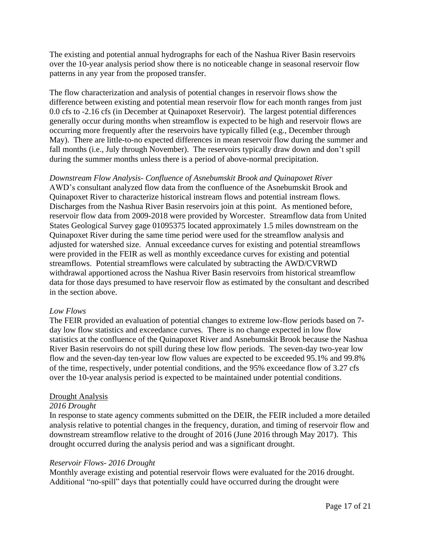The existing and potential annual hydrographs for each of the Nashua River Basin reservoirs over the 10-year analysis period show there is no noticeable change in seasonal reservoir flow patterns in any year from the proposed transfer.

The flow characterization and analysis of potential changes in reservoir flows show the difference between existing and potential mean reservoir flow for each month ranges from just 0.0 cfs to -2.16 cfs (in December at Quinapoxet Reservoir). The largest potential differences generally occur during months when streamflow is expected to be high and reservoir flows are occurring more frequently after the reservoirs have typically filled (e.g., December through May). There are little-to-no expected differences in mean reservoir flow during the summer and fall months (i.e., July through November). The reservoirs typically draw down and don't spill during the summer months unless there is a period of above-normal precipitation.

*Downstream Flow Analysis- Confluence of Asnebumskit Brook and Quinapoxet River* AWD's consultant analyzed flow data from the confluence of the Asnebumskit Brook and Quinapoxet River to characterize historical instream flows and potential instream flows. Discharges from the Nashua River Basin reservoirs join at this point. As mentioned before, reservoir flow data from 2009-2018 were provided by Worcester. Streamflow data from United States Geological Survey gage 01095375 located approximately 1.5 miles downstream on the Quinapoxet River during the same time period were used for the streamflow analysis and adjusted for watershed size. Annual exceedance curves for existing and potential streamflows were provided in the FEIR as well as monthly exceedance curves for existing and potential streamflows. Potential streamflows were calculated by subtracting the AWD/CVRWD withdrawal apportioned across the Nashua River Basin reservoirs from historical streamflow data for those days presumed to have reservoir flow as estimated by the consultant and described in the section above.

#### *Low Flows*

The FEIR provided an evaluation of potential changes to extreme low-flow periods based on 7 day low flow statistics and exceedance curves. There is no change expected in low flow statistics at the confluence of the Quinapoxet River and Asnebumskit Brook because the Nashua River Basin reservoirs do not spill during these low flow periods. The seven-day two-year low flow and the seven-day ten-year low flow values are expected to be exceeded 95.1% and 99.8% of the time, respectively, under potential conditions, and the 95% exceedance flow of 3.27 cfs over the 10-year analysis period is expected to be maintained under potential conditions.

### Drought Analysis

### *2016 Drought*

In response to state agency comments submitted on the DEIR, the FEIR included a more detailed analysis relative to potential changes in the frequency, duration, and timing of reservoir flow and downstream streamflow relative to the drought of 2016 (June 2016 through May 2017). This drought occurred during the analysis period and was a significant drought.

### *Reservoir Flows- 2016 Drought*

Monthly average existing and potential reservoir flows were evaluated for the 2016 drought. Additional "no-spill" days that potentially could have occurred during the drought were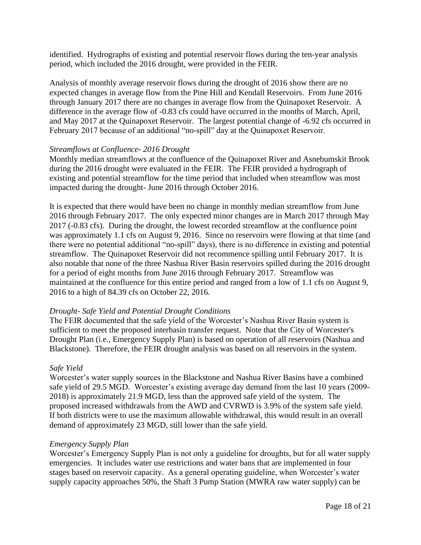identified. Hydrographs of existing and potential reservoir flows during the ten-year analysis period, which included the 2016 drought, were provided in the FEIR.

Analysis of monthly average reservoir flows during the drought of 2016 show there are no expected changes in average flow from the Pine Hill and Kendall Reservoirs. From June 2016 through January 2017 there are no changes in average flow from the Quinapoxet Reservoir. A difference in the average flow of -0.83 cfs could have occurred in the months of March, April, and May 2017 at the Quinapoxet Reservoir. The largest potential change of -6.92 cfs occurred in February 2017 because of an additional "no-spill" day at the Quinapoxet Reservoir.

### *Streamflows at Confluence- 2016 Drought*

Monthly median streamflows at the confluence of the Quinapoxet River and Asnebumskit Brook during the 2016 drought were evaluated in the FEIR. The FEIR provided a hydrograph of existing and potential streamflow for the time period that included when streamflow was most impacted during the drought- June 2016 through October 2016.

It is expected that there would have been no change in monthly median streamflow from June 2016 through February 2017. The only expected minor changes are in March 2017 through May 2017 (-0.83 cfs). During the drought, the lowest recorded streamflow at the confluence point was approximately 1.1 cfs on August 9, 2016. Since no reservoirs were flowing at that time (and there were no potential additional "no-spill" days), there is no difference in existing and potential streamflow. The Quinapoxet Reservoir did not recommence spilling until February 2017. It is also notable that none of the three Nashua River Basin reservoirs spilled during the 2016 drought for a period of eight months from June 2016 through February 2017. Streamflow was maintained at the confluence for this entire period and ranged from a low of 1.1 cfs on August 9, 2016 to a high of 84.39 cfs on October 22, 2016.

### *Drought- Safe Yield and Potential Drought Conditions*

The FEIR documented that the safe yield of the Worcester's Nashua River Basin system is sufficient to meet the proposed interbasin transfer request. Note that the City of Worcester's Drought Plan (i.e., Emergency Supply Plan) is based on operation of all reservoirs (Nashua and Blackstone). Therefore, the FEIR drought analysis was based on all reservoirs in the system.

### *Safe Yield*

Worcester's water supply sources in the Blackstone and Nashua River Basins have a combined safe yield of 29.5 MGD. Worcester's existing average day demand from the last 10 years (2009- 2018) is approximately 21.9 MGD, less than the approved safe yield of the system. The proposed increased withdrawals from the AWD and CVRWD is 3.9% of the system safe yield. If both districts were to use the maximum allowable withdrawal, this would result in an overall demand of approximately 23 MGD, still lower than the safe yield.

### *Emergency Supply Plan*

Worcester's Emergency Supply Plan is not only a guideline for droughts, but for all water supply emergencies. It includes water use restrictions and water bans that are implemented in four stages based on reservoir capacity. As a general operating guideline, when Worcester's water supply capacity approaches 50%, the Shaft 3 Pump Station (MWRA raw water supply) can be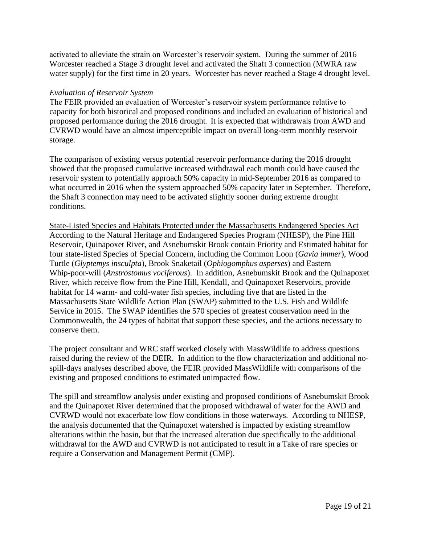activated to alleviate the strain on Worcester's reservoir system. During the summer of 2016 Worcester reached a Stage 3 drought level and activated the Shaft 3 connection (MWRA raw water supply) for the first time in 20 years. Worcester has never reached a Stage 4 drought level.

#### *Evaluation of Reservoir System*

The FEIR provided an evaluation of Worcester's reservoir system performance relative to capacity for both historical and proposed conditions and included an evaluation of historical and proposed performance during the 2016 drought. It is expected that withdrawals from AWD and CVRWD would have an almost imperceptible impact on overall long-term monthly reservoir storage.

The comparison of existing versus potential reservoir performance during the 2016 drought showed that the proposed cumulative increased withdrawal each month could have caused the reservoir system to potentially approach 50% capacity in mid-September 2016 as compared to what occurred in 2016 when the system approached 50% capacity later in September. Therefore, the Shaft 3 connection may need to be activated slightly sooner during extreme drought conditions.

State-Listed Species and Habitats Protected under the Massachusetts Endangered Species Act According to the Natural Heritage and Endangered Species Program (NHESP), the Pine Hill Reservoir, Quinapoxet River, and Asnebumskit Brook contain Priority and Estimated habitat for four state-listed Species of Special Concern, including the Common Loon (*Gavia immer*), Wood Turtle (*Glyptemys insculpta*), Brook Snaketail (*Ophiogomphus asperses*) and Eastern Whip-poor-will (*Anstrostomus vociferous*). In addition, Asnebumskit Brook and the Quinapoxet River, which receive flow from the Pine Hill, Kendall, and Quinapoxet Reservoirs, provide habitat for 14 warm- and cold-water fish species, including five that are listed in the Massachusetts State Wildlife Action Plan (SWAP) submitted to the U.S. Fish and Wildlife Service in 2015. The SWAP identifies the 570 species of greatest conservation need in the Commonwealth, the 24 types of habitat that support these species, and the actions necessary to conserve them.

The project consultant and WRC staff worked closely with MassWildlife to address questions raised during the review of the DEIR. In addition to the flow characterization and additional nospill-days analyses described above, the FEIR provided MassWildlife with comparisons of the existing and proposed conditions to estimated unimpacted flow.

The spill and streamflow analysis under existing and proposed conditions of Asnebumskit Brook and the Quinapoxet River determined that the proposed withdrawal of water for the AWD and CVRWD would not exacerbate low flow conditions in those waterways. According to NHESP, the analysis documented that the Quinapoxet watershed is impacted by existing streamflow alterations within the basin, but that the increased alteration due specifically to the additional withdrawal for the AWD and CVRWD is not anticipated to result in a Take of rare species or require a Conservation and Management Permit (CMP).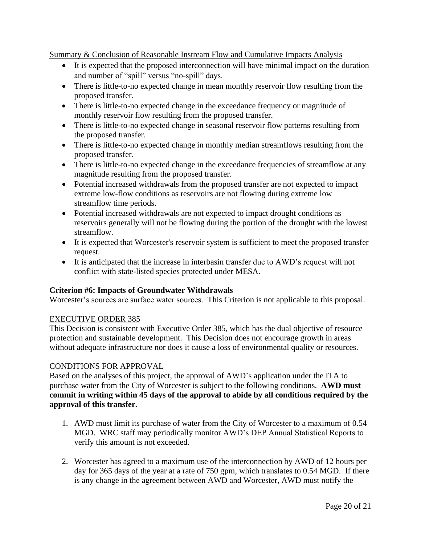Summary & Conclusion of Reasonable Instream Flow and Cumulative Impacts Analysis

- It is expected that the proposed interconnection will have minimal impact on the duration and number of "spill" versus "no-spill" days.
- There is little-to-no expected change in mean monthly reservoir flow resulting from the proposed transfer.
- There is little-to-no expected change in the exceedance frequency or magnitude of monthly reservoir flow resulting from the proposed transfer.
- There is little-to-no expected change in seasonal reservoir flow patterns resulting from the proposed transfer.
- There is little-to-no expected change in monthly median streamflows resulting from the proposed transfer.
- There is little-to-no expected change in the exceedance frequencies of streamflow at any magnitude resulting from the proposed transfer.
- Potential increased withdrawals from the proposed transfer are not expected to impact extreme low-flow conditions as reservoirs are not flowing during extreme low streamflow time periods.
- Potential increased withdrawals are not expected to impact drought conditions as reservoirs generally will not be flowing during the portion of the drought with the lowest streamflow.
- It is expected that Worcester's reservoir system is sufficient to meet the proposed transfer request.
- It is anticipated that the increase in interbasin transfer due to AWD's request will not conflict with state-listed species protected under MESA.

# **Criterion #6: Impacts of Groundwater Withdrawals**

Worcester's sources are surface water sources. This Criterion is not applicable to this proposal.

### EXECUTIVE ORDER 385

This Decision is consistent with Executive Order 385, which has the dual objective of resource protection and sustainable development. This Decision does not encourage growth in areas without adequate infrastructure nor does it cause a loss of environmental quality or resources.

# CONDITIONS FOR APPROVAL

Based on the analyses of this project, the approval of AWD's application under the ITA to purchase water from the City of Worcester is subject to the following conditions. **AWD must commit in writing within 45 days of the approval to abide by all conditions required by the approval of this transfer.**

- 1. AWD must limit its purchase of water from the City of Worcester to a maximum of 0.54 MGD. WRC staff may periodically monitor AWD's DEP Annual Statistical Reports to verify this amount is not exceeded.
- 2. Worcester has agreed to a maximum use of the interconnection by AWD of 12 hours per day for 365 days of the year at a rate of 750 gpm, which translates to 0.54 MGD. If there is any change in the agreement between AWD and Worcester, AWD must notify the